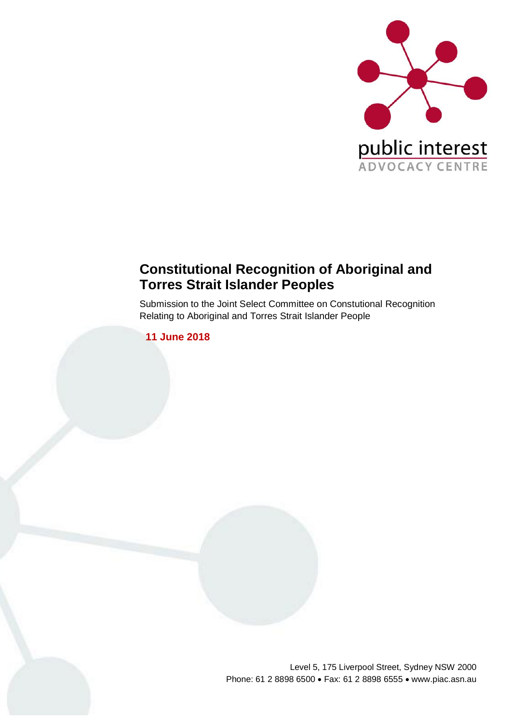

## **Constitutional Recognition of Aboriginal and Torres Strait Islander Peoples**

Submission to the Joint Select Committee on Constutional Recognition Relating to Aboriginal and Torres Strait Islander People

**11 June 2018**

Level 5, 175 Liverpool Street, Sydney NSW 2000 Phone: 61 2 8898 6500 • Fax: 61 2 8898 6555 • www.piac.asn.au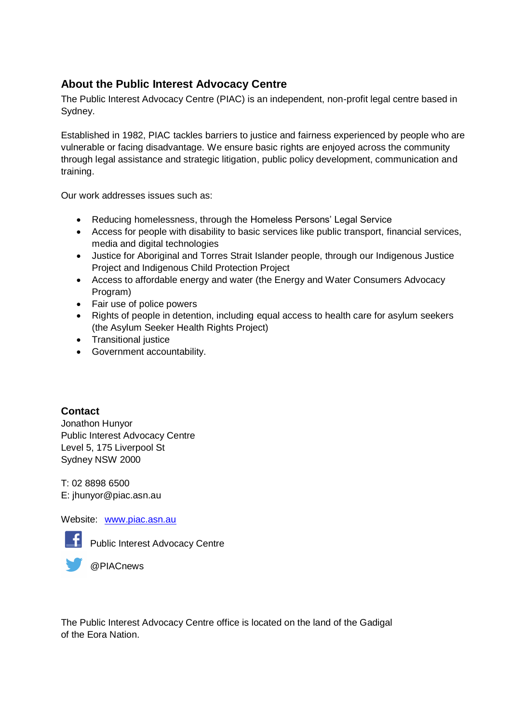### **About the Public Interest Advocacy Centre**

The Public Interest Advocacy Centre (PIAC) is an independent, non-profit legal centre based in Sydney.

Established in 1982, PIAC tackles barriers to justice and fairness experienced by people who are vulnerable or facing disadvantage. We ensure basic rights are enjoyed across the community through legal assistance and strategic litigation, public policy development, communication and training.

Our work addresses issues such as:

- Reducing homelessness, through the Homeless Persons' Legal Service
- Access for people with disability to basic services like public transport, financial services, media and digital technologies
- Justice for Aboriginal and Torres Strait Islander people, through our Indigenous Justice Project and Indigenous Child Protection Project
- Access to affordable energy and water (the Energy and Water Consumers Advocacy Program)
- Fair use of police powers
- Rights of people in detention, including equal access to health care for asylum seekers (the Asylum Seeker Health Rights Project)
- Transitional justice
- Government accountability.

**Contact**

Jonathon Hunyor Public Interest Advocacy Centre Level 5, 175 Liverpool St Sydney NSW 2000

T: 02 8898 6500 E: jhunyor@piac.asn.au

Website: [www.piac.asn.au](http://www.piac.asn.au/)



**Public Interest Advocacy Centre** 

@PIACnews

The Public Interest Advocacy Centre office is located on the land of the Gadigal of the Eora Nation.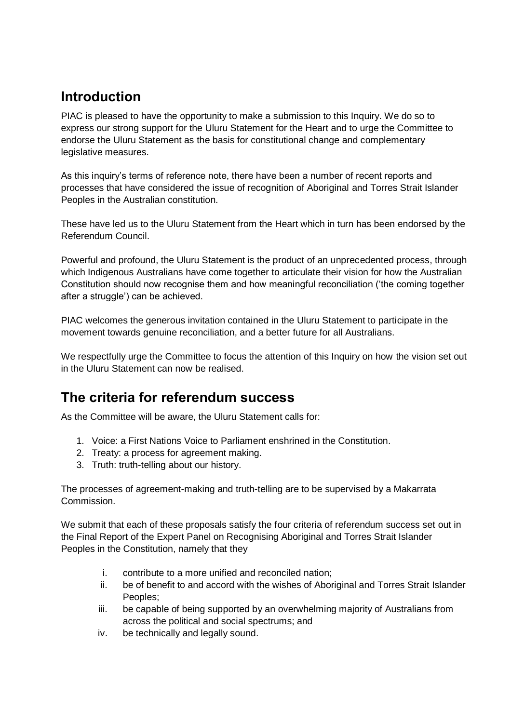# **Introduction**

PIAC is pleased to have the opportunity to make a submission to this Inquiry. We do so to express our strong support for the Uluru Statement for the Heart and to urge the Committee to endorse the Uluru Statement as the basis for constitutional change and complementary legislative measures.

As this inquiry's terms of reference note, there have been a number of recent reports and processes that have considered the issue of recognition of Aboriginal and Torres Strait Islander Peoples in the Australian constitution.

These have led us to the Uluru Statement from the Heart which in turn has been endorsed by the Referendum Council.

Powerful and profound, the Uluru Statement is the product of an unprecedented process, through which Indigenous Australians have come together to articulate their vision for how the Australian Constitution should now recognise them and how meaningful reconciliation ('the coming together after a struggle') can be achieved.

PIAC welcomes the generous invitation contained in the Uluru Statement to participate in the movement towards genuine reconciliation, and a better future for all Australians.

We respectfully urge the Committee to focus the attention of this Inquiry on how the vision set out in the Uluru Statement can now be realised.

## **The criteria for referendum success**

As the Committee will be aware, the Uluru Statement calls for:

- 1. Voice: a First Nations Voice to Parliament enshrined in the Constitution.
- 2. Treaty: a process for agreement making.
- 3. Truth: truth-telling about our history.

The processes of agreement-making and truth-telling are to be supervised by a Makarrata Commission.

We submit that each of these proposals satisfy the four criteria of referendum success set out in the Final Report of the Expert Panel on Recognising Aboriginal and Torres Strait Islander Peoples in the Constitution, namely that they

- i. contribute to a more unified and reconciled nation;
- ii. be of benefit to and accord with the wishes of Aboriginal and Torres Strait Islander Peoples;
- iii. be capable of being supported by an overwhelming majority of Australians from across the political and social spectrums; and
- iv. be technically and legally sound.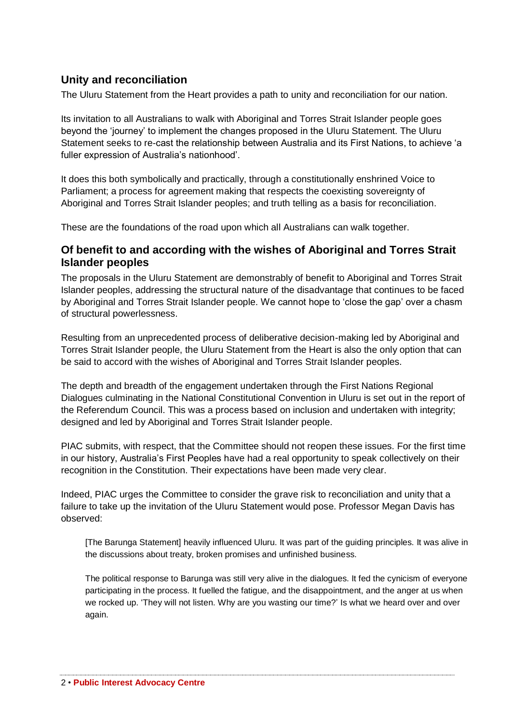#### **Unity and reconciliation**

The Uluru Statement from the Heart provides a path to unity and reconciliation for our nation.

Its invitation to all Australians to walk with Aboriginal and Torres Strait Islander people goes beyond the 'journey' to implement the changes proposed in the Uluru Statement. The Uluru Statement seeks to re-cast the relationship between Australia and its First Nations, to achieve 'a fuller expression of Australia's nationhood'.

It does this both symbolically and practically, through a constitutionally enshrined Voice to Parliament; a process for agreement making that respects the coexisting sovereignty of Aboriginal and Torres Strait Islander peoples; and truth telling as a basis for reconciliation.

These are the foundations of the road upon which all Australians can walk together.

#### **Of benefit to and according with the wishes of Aboriginal and Torres Strait Islander peoples**

The proposals in the Uluru Statement are demonstrably of benefit to Aboriginal and Torres Strait Islander peoples, addressing the structural nature of the disadvantage that continues to be faced by Aboriginal and Torres Strait Islander people. We cannot hope to 'close the gap' over a chasm of structural powerlessness.

Resulting from an unprecedented process of deliberative decision-making led by Aboriginal and Torres Strait Islander people, the Uluru Statement from the Heart is also the only option that can be said to accord with the wishes of Aboriginal and Torres Strait Islander peoples.

The depth and breadth of the engagement undertaken through the First Nations Regional Dialogues culminating in the National Constitutional Convention in Uluru is set out in the report of the Referendum Council. This was a process based on inclusion and undertaken with integrity; designed and led by Aboriginal and Torres Strait Islander people.

PIAC submits, with respect, that the Committee should not reopen these issues. For the first time in our history, Australia's First Peoples have had a real opportunity to speak collectively on their recognition in the Constitution. Their expectations have been made very clear.

Indeed, PIAC urges the Committee to consider the grave risk to reconciliation and unity that a failure to take up the invitation of the Uluru Statement would pose. Professor Megan Davis has observed:

[The Barunga Statement] heavily influenced Uluru. It was part of the guiding principles. It was alive in the discussions about treaty, broken promises and unfinished business.

The political response to Barunga was still very alive in the dialogues. It fed the cynicism of everyone participating in the process. It fuelled the fatigue, and the disappointment, and the anger at us when we rocked up. 'They will not listen. Why are you wasting our time?' Is what we heard over and over again.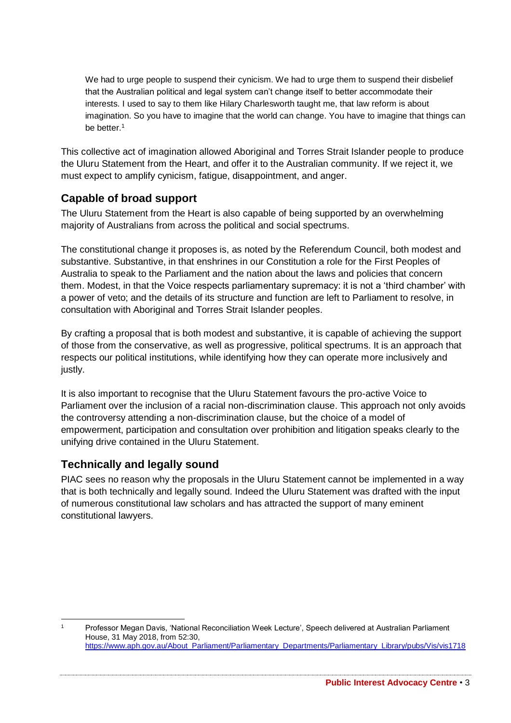We had to urge people to suspend their cynicism. We had to urge them to suspend their disbelief that the Australian political and legal system can't change itself to better accommodate their interests. I used to say to them like Hilary Charlesworth taught me, that law reform is about imagination. So you have to imagine that the world can change. You have to imagine that things can be better.<sup>1</sup>

This collective act of imagination allowed Aboriginal and Torres Strait Islander people to produce the Uluru Statement from the Heart, and offer it to the Australian community. If we reject it, we must expect to amplify cynicism, fatigue, disappointment, and anger.

### **Capable of broad support**

The Uluru Statement from the Heart is also capable of being supported by an overwhelming majority of Australians from across the political and social spectrums.

The constitutional change it proposes is, as noted by the Referendum Council, both modest and substantive. Substantive, in that enshrines in our Constitution a role for the First Peoples of Australia to speak to the Parliament and the nation about the laws and policies that concern them. Modest, in that the Voice respects parliamentary supremacy: it is not a 'third chamber' with a power of veto; and the details of its structure and function are left to Parliament to resolve, in consultation with Aboriginal and Torres Strait Islander peoples.

By crafting a proposal that is both modest and substantive, it is capable of achieving the support of those from the conservative, as well as progressive, political spectrums. It is an approach that respects our political institutions, while identifying how they can operate more inclusively and justly.

It is also important to recognise that the Uluru Statement favours the pro-active Voice to Parliament over the inclusion of a racial non-discrimination clause. This approach not only avoids the controversy attending a non-discrimination clause, but the choice of a model of empowerment, participation and consultation over prohibition and litigation speaks clearly to the unifying drive contained in the Uluru Statement.

#### **Technically and legally sound**

PIAC sees no reason why the proposals in the Uluru Statement cannot be implemented in a way that is both technically and legally sound. Indeed the Uluru Statement was drafted with the input of numerous constitutional law scholars and has attracted the support of many eminent constitutional lawyers.

<sup>1</sup> Professor Megan Davis, 'National Reconciliation Week Lecture', Speech delivered at Australian Parliament House, 31 May 2018, from 52:30, [https://www.aph.gov.au/About\\_Parliament/Parliamentary\\_Departments/Parliamentary\\_Library/pubs/Vis/vis1718](https://www.aph.gov.au/About_Parliament/Parliamentary_Departments/Parliamentary_Library/pubs/Vis/vis1718)